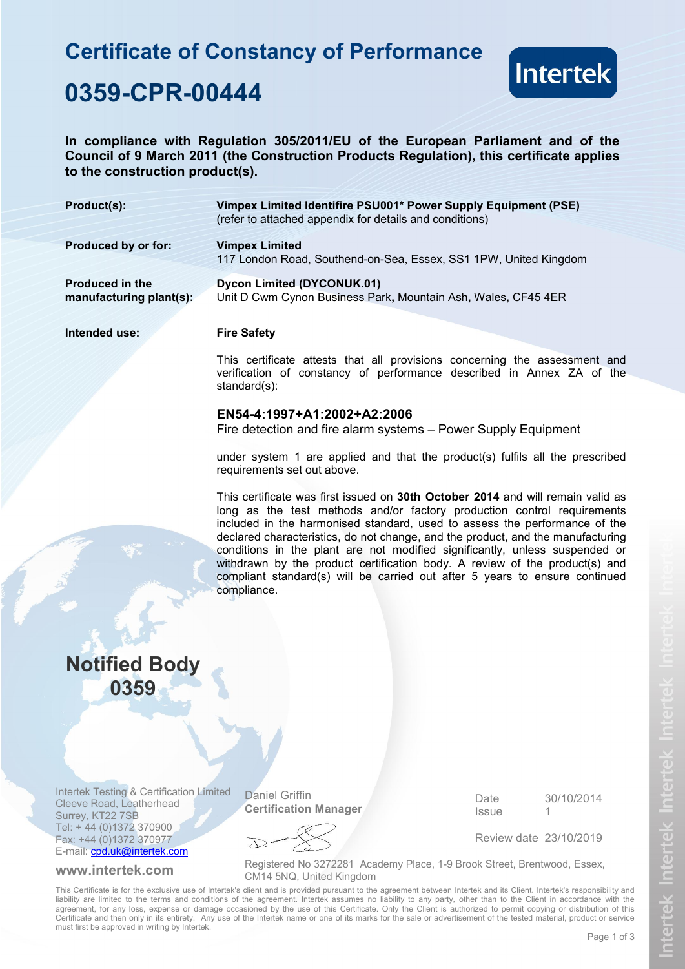# **Certificate of Constancy of Performance**



## **0359-CPR-00444**

**In compliance with Regulation 305/2011/EU of the European Parliament and of the Council of 9 March 2011 (the Construction Products Regulation), this certificate applies to the construction product(s).**

| Product(s):                                       | Vimpex Limited Identifire PSU001* Power Supply Equipment (PSE)<br>(refer to attached appendix for details and conditions) |
|---------------------------------------------------|---------------------------------------------------------------------------------------------------------------------------|
| Produced by or for:                               | <b>Vimpex Limited</b><br>117 London Road, Southend-on-Sea, Essex, SS1 1PW, United Kingdom                                 |
| <b>Produced in the</b><br>manufacturing plant(s): | Dycon Limited (DYCONUK.01)<br>Unit D Cwm Cynon Business Park, Mountain Ash, Wales, CF45 4ER                               |
| Intended use:                                     | <b>Fire Safety</b>                                                                                                        |

This certificate attests that all provisions concerning the assessment and verification of constancy of performance described in Annex ZA of the standard(s):

### **EN54-4:1997+A1:2002+A2:2006**

Fire detection and fire alarm systems – Power Supply Equipment

under system 1 are applied and that the product(s) fulfils all the prescribed requirements set out above.

This certificate was first issued on **30th October 2014** and will remain valid as long as the test methods and/or factory production control requirements included in the harmonised standard, used to assess the performance of the declared characteristics, do not change, and the product, and the manufacturing conditions in the plant are not modified significantly, unless suspended or withdrawn by the product certification body. A review of the product(s) and compliant standard(s) will be carried out after 5 years to ensure continued compliance.

## **Notified Body 0359**

Intertek Testing & Certification Limited Cleeve Road, Leatherhead Surrey, KT22 7SB Tel: + 44 (0)1372 370900 Fax: +44 (0)1372 370977 E-mail: cpd.uk@intertek.com

Daniel Griffin **Certification Manager** Date **Issue** 30/10/2014 1

Review date 23/10/2019

 $\sum$ 

**www.intertek.com** Registered No 3272281 Academy Place, 1-9 Brook Street, Brentwood, Essex, CM14 5NQ, United Kingdom

This Certificate is for the exclusive use of Intertek's client and is provided pursuant to the agreement between Intertek and its Client. Intertek's responsibility and liability are limited to the terms and conditions of the agreement. Intertek assumes no liability to any party, other than to the Client in accordance with the agreement, for any loss, expense or damage occasioned by the use of this Certificate. Only the Client is authorized to permit copying or distribution of this Certificate and then only in its entirety. Any use of the Intertek name or one of its marks for the sale or advertisement of the tested material, product or service must first be approved in writing by Intertek.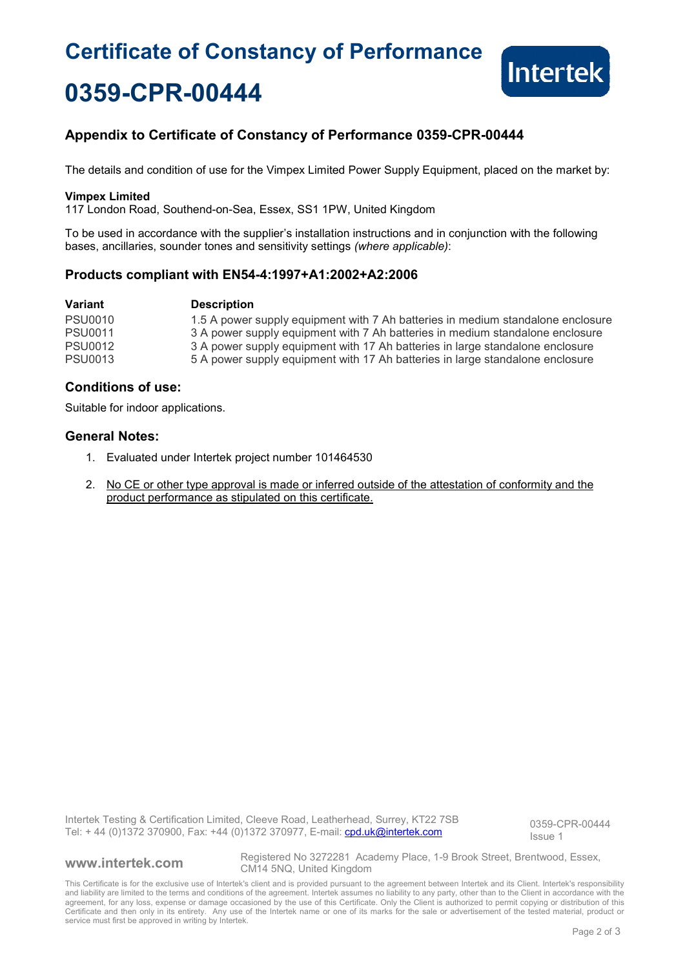# **Certificate of Constancy of Performance 0359-CPR-00444**



### **Appendix to Certificate of Constancy of Performance 0359-CPR-00444**

The details and condition of use for the Vimpex Limited Power Supply Equipment, placed on the market by:

#### **Vimpex Limited**

117 London Road, Southend-on-Sea, Essex, SS1 1PW, United Kingdom

To be used in accordance with the supplier's installation instructions and in conjunction with the following bases, ancillaries, sounder tones and sensitivity settings *(where applicable)*:

### **Products compliant with EN54-4:1997+A1:2002+A2:2006**

| Variant        | <b>Description</b>                                                              |
|----------------|---------------------------------------------------------------------------------|
| <b>PSU0010</b> | 1.5 A power supply equipment with 7 Ah batteries in medium standalone enclosure |
| <b>PSU0011</b> | 3 A power supply equipment with 7 Ah batteries in medium standalone enclosure   |
| <b>PSU0012</b> | 3 A power supply equipment with 17 Ah batteries in large standalone enclosure   |
| <b>PSU0013</b> | 5 A power supply equipment with 17 Ah batteries in large standalone enclosure   |

### **Conditions of use:**

Suitable for indoor applications.

### **General Notes:**

- 1. Evaluated under Intertek project number 101464530
- 2. No CE or other type approval is made or inferred outside of the attestation of conformity and the product performance as stipulated on this certificate.

Intertek Testing & Certification Limited, Cleeve Road, Leatherhead, Surrey, KT22 7SB Intertek Testing & Certification Limited, Cleeve Road, Leatherhead, Surrey, KT22 7SB<br>Tel: + 44 (0)1372 370900, Fax: +44 (0)1372 370977, E-mail: cpd.uk@intertek.com

Issue 1

**www.intertek.com** Registered No 3272281 Academy Place, 1-9 Brook Street, Brentwood, Essex, CM14 5NQ, United Kingdom

This Certificate is for the exclusive use of Intertek's client and is provided pursuant to the agreement between Intertek and its Client. Intertek's responsibility and liability are limited to the terms and conditions of the agreement. Intertek assumes no liability to any party, other than to the Client in accordance with the agreement, for any loss, expense or damage occasioned by the use of this Certificate. Only the Client is authorized to permit copying or distribution of this Certificate and then only in its entirety. Any use of the Intertek name or one of its marks for the sale or advertisement of the tested material, product or service must first be approved in writing by Intertek.